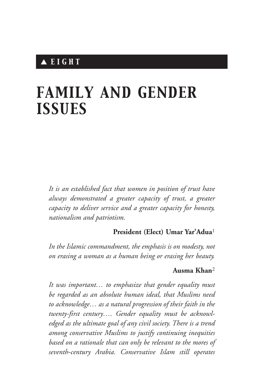# ▲ *E I G H T*

# *FAMILY AND GENDER ISSUES*

*It is an established fact that women in position of trust have always demonstrated a greater capacity of trust, a greater capacity to deliver service and a greater capacity for honesty, nationalism and patriotism.*

## **President (Elect) Umar Yar'Adua**<sup>1</sup>

*In the Islamic commandment, the emphasis is on modesty, not on erasing a woman as a human being or erasing her beauty.*

#### **Ausma Khan**<sup>2</sup>

*It was important… to emphasize that gender equality must be regarded as an absolute human ideal, that Muslims need to acknowledge… as a natural progression of their faith in the twenty-first century…. Gender equality must be acknowledged as the ultimate goal of any civil society. There is a trend among conservative Muslims to justify continuing inequities based on a rationale that can only be relevant to the mores of seventh-century Arabia. Conservative Islam still operates*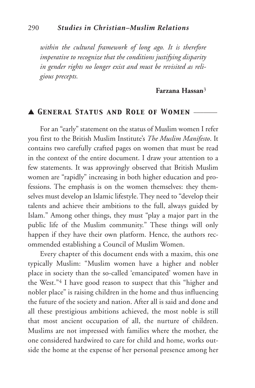*within the cultural framework of long ago. It is therefore imperative to recognize that the conditions justifying disparity in gender rights no longer exist and must be revisited as religious precepts.*

**Farzana Hassan**3

## ▲ *General Status and Role of Women* \_\_\_\_\_\_\_

For an "early" statement on the status of Muslim women I refer you first to the British Muslim Institute's *The Muslim Manifesto*. It contains two carefully crafted pages on women that must be read in the context of the entire document. I draw your attention to a few statements. It was approvingly observed that British Muslim women are "rapidly" increasing in both higher education and professions. The emphasis is on the women themselves: they themselves must develop an Islamic lifestyle. They need to "develop their talents and achieve their ambitions to the full, always guided by Islam." Among other things, they must "play a major part in the public life of the Muslim community." These things will only happen if they have their own platform. Hence, the authors recommended establishing a Council of Muslim Women.

Every chapter of this document ends with a maxim, this one typically Muslim: "Muslim women have a higher and nobler place in society than the so-called 'emancipated' women have in the West."4 I have good reason to suspect that this "higher and nobler place" is raising children in the home and thus influencing the future of the society and nation. After all is said and done and all these prestigious ambitions achieved, the most noble is still that most ancient occupation of all, the nurture of children. Muslims are not impressed with families where the mother, the one considered hardwired to care for child and home, works outside the home at the expense of her personal presence among her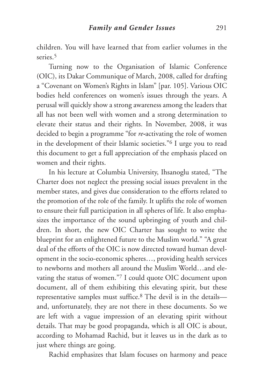children. You will have learned that from earlier volumes in the series<sup>5</sup>

Turning now to the Organisation of Islamic Conference (OIC), its Dakar Communique of March, 2008, called for drafting a "Covenant on Women's Rights in Islam" [par. 105]. Various OIC bodies held conferences on women's issues through the years. A perusal will quickly show a strong awareness among the leaders that all has not been well with women and a strong determination to elevate their status and their rights. In November, 2008, it was decided to begin a programme "for *re-*activating the role of women in the development of their Islamic societies."6 I urge you to read this document to get a full appreciation of the emphasis placed on women and their rights.

In his lecture at Columbia University, Ihsanoglu stated, "The Charter does not neglect the pressing social issues prevalent in the member states, and gives due consideration to the efforts related to the promotion of the role of the family. It uplifts the role of women to ensure their full participation in all spheres of life. It also emphasizes the importance of the sound upbringing of youth and children. In short, the new OIC Charter has sought to write the blueprint for an enlightened future to the Muslim world." "A great deal of the efforts of the OIC is now directed toward human development in the socio-economic spheres…, providing health services to newborns and mothers all around the Muslim World…and elevating the status of women."7 I could quote OIC document upon document, all of them exhibiting this elevating spirit, but these representative samples must suffice.8 The devil is in the details and, unfortunately, they are not there in these documents. So we are left with a vague impression of an elevating spirit without details. That may be good propaganda, which is all OIC is about, according to Mohamad Rachid, but it leaves us in the dark as to just where things are going.

Rachid emphasizes that Islam focuses on harmony and peace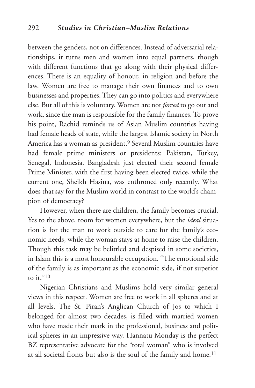between the genders, not on differences. Instead of adversarial relationships, it turns men and women into equal partners, though with different functions that go along with their physical differences. There is an equality of honour, in religion and before the law. Women are free to manage their own finances and to own businesses and properties. They can go into politics and everywhere else. But all of this is voluntary. Women are not *forced* to go out and work, since the man is responsible for the family finances. To prove his point, Rachid reminds us of Asian Muslim countries having had female heads of state, while the largest Islamic society in North America has a woman as president.9 Several Muslim countries have had female prime ministers or presidents: Pakistan, Turkey, Senegal, Indonesia. Bangladesh just elected their second female Prime Minister, with the first having been elected twice, while the current one, Sheikh Hasina, was enthroned only recently. What does that say for the Muslim world in contrast to the world's champion of democracy?

However, when there are children, the family becomes crucial. Yes to the above, room for women everywhere, but the *ideal* situation is for the man to work outside to care for the family's economic needs, while the woman stays at home to raise the children. Though this task may be belittled and despised in some societies, in Islam this is a most honourable occupation. "The emotional side of the family is as important as the economic side, if not superior to it." $10$ 

Nigerian Christians and Muslims hold very similar general views in this respect. Women are free to work in all spheres and at all levels. The St. Piran's Anglican Church of Jos to which I belonged for almost two decades, is filled with married women who have made their mark in the professional, business and political spheres in an impressive way. Hannatu Monday is the perfect BZ representative advocate for the "total woman" who is involved at all societal fronts but also is the soul of the family and home.11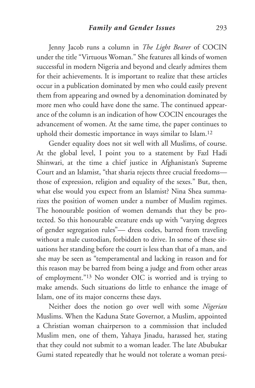Jenny Jacob runs a column in *The Light Bearer* of COCIN under the title "Virtuous Woman." She features all kinds of women successful in modern Nigeria and beyond and clearly admires them for their achievements. It is important to realize that these articles occur in a publication dominated by men who could easily prevent them from appearing and owned by a denomination dominated by more men who could have done the same. The continued appearance of the column is an indication of how COCIN encourages the advancement of women. At the same time, the paper continues to uphold their domestic importance in ways similar to Islam.12

Gender equality does not sit well with all Muslims, of course. At the global level, I point you to a statement by Fazl Hadi Shinwari, at the time a chief justice in Afghanistan's Supreme Court and an Islamist, "that sharia rejects three crucial freedoms those of expression, religion and equality of the sexes." But, then, what else would you expect from an Islamist? Nina Shea summarizes the position of women under a number of Muslim regimes. The honourable position of women demands that they be protected. So this honourable creature ends up with "varying degrees of gender segregation rules"— dress codes, barred from traveling without a male custodian, forbidden to drive. In some of these situations her standing before the court is less than that of a man, and she may be seen as "temperamental and lacking in reason and for this reason may be barred from being a judge and from other areas of employment."13 No wonder OIC is worried and is trying to make amends. Such situations do little to enhance the image of Islam, one of its major concerns these days.

Neither does the notion go over well with some *Nigerian* Muslims. When the Kaduna State Governor, a Muslim, appointed a Christian woman chairperson to a commission that included Muslim men, one of them, Yahaya Jinadu, harassed her, stating that they could not submit to a woman leader. The late Abubukar Gumi stated repeatedly that he would not tolerate a woman presi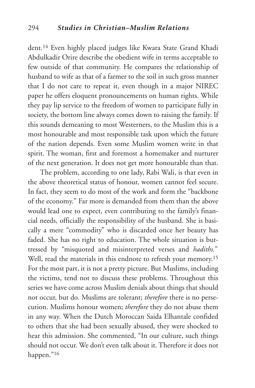dent.14 Even highly placed judges like Kwara State Grand Khadi Abdulkadir Orire describe the obedient wife in terms acceptable to few outside of that community. He compares the relationship of husband to wife as that of a farmer to the soil in such gross manner that I do not care to repeat it, even though in a major NIREC paper he offers eloquent pronouncements on human rights. While they pay lip service to the freedom of women to participate fully in society, the bottom line always comes down to raising the family. If this sounds demeaning to most Westerners, to the Muslim this is a most honourable and most responsible task upon which the future of the nation depends. Even some Muslim women write in that spirit. The woman, first and foremost a homemaker and nurturer of the next generation. It does not get more honourable than that.

The problem, according to one lady, Rabi Wali, is that even in the above theoretical status of honour, women cannot feel secure. In fact, they seem to do most of the work and form the "backbone of the economy." Far more is demanded from them than the above would lead one to expect, even contributing to the family's financial needs, officially the responsibility of the husband. She is basically a mere "commodity" who is discarded once her beauty has faded. She has no right to education. The whole situation is buttressed by "misquoted and misinterpreted verses and *hadiths.*" Well, read the materials in this endnote to refresh your memory.<sup>15</sup> For the most part, it is not a pretty picture. But Muslims, including the victims, tend not to discuss these problems. Throughout this series we have come across Muslim denials about things that should not occur, but do. Muslims are tolerant; *therefore* there is no persecution. Muslims honour women; *therefore* they do not abuse them in any way. When the Dutch Moroccan Saida Elhantale confided to others that she had been sexually abused, they were shocked to hear this admission. She commented, "In our culture, such things should not occur. We don't even talk about it. Therefore it does not happen."16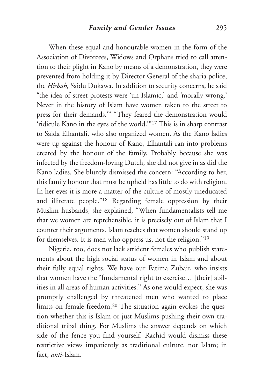When these equal and honourable women in the form of the Association of Divorcees, Widows and Orphans tried to call attention to their plight in Kano by means of a demonstration, they were prevented from holding it by Director General of the sharia police, the *Hisbah*, Saidu Dukawa. In addition to security concerns, he said "the idea of street protests were 'un-Islamic,' and 'morally wrong.' Never in the history of Islam have women taken to the street to press for their demands.'" "They feared the demonstration would 'ridicule Kano in the eyes of the world.'"17 This is in sharp contrast to Saida Elhantali, who also organized women. As the Kano ladies were up against the honour of Kano, Elhantali ran into problems created by the honour of the family. Probably because she was infected by the freedom-loving Dutch, she did not give in as did the Kano ladies. She bluntly dismissed the concern: "According to her, this family honour that must be upheld has little to do with religion. In her eyes it is more a matter of the culture of mostly uneducated and illiterate people."18 Regarding female oppression by their Muslim husbands, she explained, "When fundamentalists tell me that we women are reprehensible, it is precisely out of Islam that I counter their arguments. Islam teaches that women should stand up for themselves. It is men who oppress us, not the religion."19

Nigeria, too, does not lack strident females who publish statements about the high social status of women in Islam and about their fully equal rights. We have our Fatima Zubair, who insists that women have the "fundamental right to exercise… [their] abilities in all areas of human activities." As one would expect, she was promptly challenged by threatened men who wanted to place limits on female freedom.20 The situation again evokes the question whether this is Islam or just Muslims pushing their own traditional tribal thing. For Muslims the answer depends on which side of the fence you find yourself. Rachid would dismiss these restrictive views impatiently as traditional culture, not Islam; in fact, *anti*-Islam.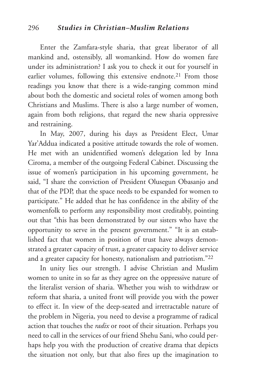Enter the Zamfara-style sharia, that great liberator of all mankind and, ostensibly, all womankind. How do women fare under its administration? I ask you to check it out for yourself in earlier volumes, following this extensive endnote.<sup>21</sup> From those readings you know that there is a wide-ranging common mind about both the domestic and societal roles of women among both Christians and Muslims. There is also a large number of women, again from both religions, that regard the new sharia oppressive and restraining.

In May, 2007, during his days as President Elect, Umar Yar'Addua indicated a positive attitude towards the role of women. He met with an unidentified women's delegation led by Inna Ciroma, a member of the outgoing Federal Cabinet. Discussing the issue of women's participation in his upcoming government, he said, "I share the conviction of President Olusegun Obasanjo and that of the PDP, that the space needs to be expanded for women to participate." He added that he has confidence in the ability of the womenfolk to perform any responsibility most creditably, pointing out that "this has been demonstrated by our sisters who have the opportunity to serve in the present government." "It is an established fact that women in position of trust have always demonstrated a greater capacity of trust, a greater capacity to deliver service and a greater capacity for honesty, nationalism and patriotism."22

In unity lies our strength. I advise Christian and Muslim women to unite in so far as they agree on the oppressive nature of the literalist version of sharia. Whether you wish to withdraw or reform that sharia, a united front will provide you with the power to effect it. In view of the deep-seated and irretractable nature of the problem in Nigeria, you need to devise a programme of radical action that touches the *radix* or root of their situation. Perhaps you need to call in the services of our friend Shehu Sani, who could perhaps help you with the production of creative drama that depicts the situation not only, but that also fires up the imagination to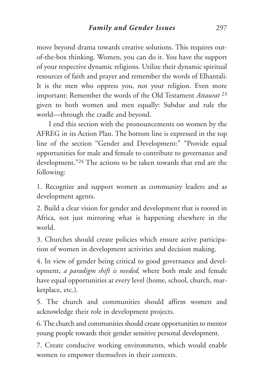move beyond drama towards creative solutions. This requires outof-the-box thinking. Women, you can do it. You have the support of your respective dynamic religions. Utilize their dynamic spiritual resources of faith and prayer and remember the words of Elhantali: It is the men who oppress you, not your religion. Even more important: Remember the words of the Old Testament *Attaurat* <sup>23</sup> given to both women and men equally: Subdue and rule the world—through the cradle and beyond.

I end this section with the pronouncements on women by the AFREG in its Action Plan. The bottom line is expressed in the top line of the section "Gender and Development:" "Provide equal opportunities for male and female to contribute to governance and development."24 The actions to be taken towards that end are the following:

1. Recognize and support women as community leaders and as development agents.

2. Build a clear vision for gender and development that is rooted in Africa, not just mirroring what is happening elsewhere in the world.

3. Churches should create policies which ensure active participation of women in development activities and decision making.

4. In view of gender being critical to good governance and development, *a paradigm shift is needed,* where both male and female have equal opportunities at every level (home, school, church, marketplace, etc.).

5. The church and communities should affirm women and acknowledge their role in development projects.

6.The church and communities should create opportunities to mentor young people towards their gender sensitive personal development.

7. Create conducive working environments, which would enable women to empower themselves in their contexts.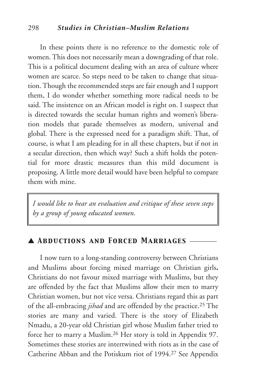In these points there is no reference to the domestic role of women. This does not necessarily mean a downgrading of that role. This is a political document dealing with an area of culture where women are scarce. So steps need to be taken to change that situation. Though the recommended steps are fair enough and I support them, I do wonder whether something more radical needs to be said. The insistence on an African model is right on. I suspect that is directed towards the secular human rights and women's liberation models that parade themselves as modern, universal and global. There is the expressed need for a paradigm shift. That, of course, is what I am pleading for in all these chapters, but if not in a secular direction, then which way? Such a shift holds the potential for more drastic measures than this mild document is proposing. A little more detail would have been helpful to compare them with mine.

*I would like to hear an evaluation and critique of these seven steps by a group of young educated women*.

## ▲ *Abductions and Forced Marriages* \_\_\_\_\_\_\_\_

I now turn to a long-standing controversy between Christians and Muslims about forcing mixed marriage on Christian girls**.** Christians do not favour mixed marriage with Muslims, but they are offended by the fact that Muslims allow their men to marry Christian women, but not vice versa. Christians regard this as part of the all-embracing *jihad* and are offended by the practice.25 The stories are many and varied. There is the story of Elizabeth Nmadu, a 20-year old Christian girl whose Muslim father tried to force her to marry a Muslim.26 Her story is told in Appendix 97. Sometimes these stories are intertwined with riots as in the case of Catherine Abban and the Potiskum riot of 1994.27 See Appendix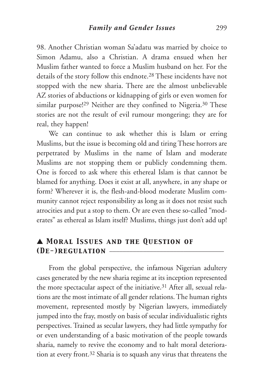98. Another Christian woman Sa'adatu was married by choice to Simon Adamu, also a Christian. A drama ensued when her Muslim father wanted to force a Muslim husband on her. For the details of the story follow this endnote.28 These incidents have not stopped with the new sharia. There are the almost unbelievable AZ stories of abductions or kidnapping of girls or even women for similar purpose!<sup>29</sup> Neither are they confined to Nigeria.<sup>30</sup> These stories are not the result of evil rumour mongering; they are for real, they happen!

We can continue to ask whether this is Islam or erring Muslims, but the issue is becoming old and tiring These horrors are perpetrated by Muslims in the name of Islam and moderate Muslims are not stopping them or publicly condemning them. One is forced to ask where this ethereal Islam is that cannot be blamed for anything. Does it exist at all, anywhere, in any shape or form? Wherever it is, the flesh-and-blood moderate Muslim community cannot reject responsibility as long as it does not resist such atrocities and put a stop to them. Or are even these so-called "moderates" as ethereal as Islam itself? Muslims, things just don't add up!

# ▲ *Moral Issues and the Question of (De-)regulation* \_\_\_\_\_\_\_\_\_\_\_\_\_\_\_\_\_\_\_\_\_\_\_\_\_\_\_\_\_\_\_\_\_\_

From the global perspective, the infamous Nigerian adultery cases generated by the new sharia regime at its inception represented the more spectacular aspect of the initiative.31 After all, sexual relations are the most intimate of all gender relations.The human rights movement, represented mostly by Nigerian lawyers, immediately jumped into the fray, mostly on basis of secular individualistic rights perspectives. Trained as secular lawyers, they had little sympathy for or even understanding of a basic motivation of the people towards sharia, namely to revive the economy and to halt moral deterioration at every front.32 Sharia is to squash any virus that threatens the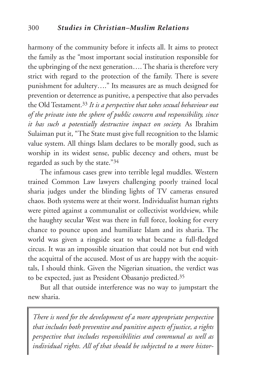harmony of the community before it infects all. It aims to protect the family as the "most important social institution responsible for the upbringing of the next generation….The sharia is therefore very strict with regard to the protection of the family. There is severe punishment for adultery…." Its measures are as much designed for prevention or deterrence as punitive, a perspective that also pervades the Old Testament.33 *It is a perspective that takes sexual behaviour out of the private into the sphere of public concern and responsibility, since it has such a potentially destructive impact on society.* As Ibrahim Sulaiman put it, "The State must give full recognition to the Islamic value system. All things Islam declares to be morally good, such as worship in its widest sense, public decency and others, must be regarded as such by the state."34

The infamous cases grew into terrible legal muddles. Western trained Common Law lawyers challenging poorly trained local sharia judges under the blinding lights of TV cameras ensured chaos. Both systems were at their worst. Individualist human rights were pitted against a communalist or collectivist worldview, while the haughty secular West was there in full force, looking for every chance to pounce upon and humiliate Islam and its sharia. The world was given a ringside seat to what became a full-fledged circus. It was an impossible situation that could not but end with the acquittal of the accused. Most of us are happy with the acquittals, I should think. Given the Nigerian situation, the verdict was to be expected, just as President Obasanjo predicted.35

But all that outside interference was no way to jumpstart the new sharia.

*There is need for the development of a more appropriate perspective that includes both preventive and punitive aspects of justice, a rights perspective that includes responsibilities and communal as well as individual rights. All of that should be subjected to a more histor-*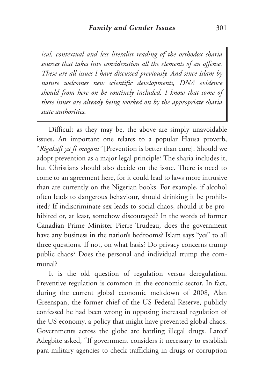*ical, contextual and less literalist reading of the orthodox sharia sources that takes into consideration all the elements of an offense. These are all issues I have discussed previously. And since Islam by nature welcomes new scientific developments, DNA evidence should from here on be routinely included. I know that some of these issues are already being worked on by the appropriate sharia state authorities.*

Difficult as they may be, the above are simply unavoidable issues. An important one relates to a popular Hausa proverb, "*Rigakafi ya fi magani"* [Prevention is better than cure]. Should we adopt prevention as a major legal principle? The sharia includes it, but Christians should also decide on the issue. There is need to come to an agreement here, for it could lead to laws more intrusive than are currently on the Nigerian books. For example, if alcohol often leads to dangerous behaviour, should drinking it be prohibited? If indiscriminate sex leads to social chaos, should it be prohibited or, at least, somehow discouraged? In the words of former Canadian Prime Minister Pierre Trudeau, does the government have any business in the nation's bedrooms? Islam says "yes" to all three questions. If not, on what basis? Do privacy concerns trump public chaos? Does the personal and individual trump the communal?

It is the old question of regulation versus deregulation. Preventive regulation is common in the economic sector. In fact, during the current global economic meltdown of 2008, Alan Greenspan, the former chief of the US Federal Reserve, publicly confessed he had been wrong in opposing increased regulation of the US economy, a policy that might have prevented global chaos. Governments across the globe are battling illegal drugs. Lateef Adegbite asked, "If government considers it necessary to establish para-military agencies to check trafficking in drugs or corruption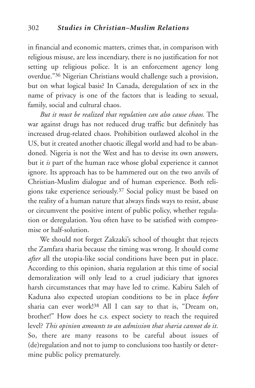in financial and economic matters, crimes that, in comparison with religious misuse, are less incendiary, there is no justification for not setting up religious police. It is an enforcement agency long overdue."36 Nigerian Christians would challenge such a provision, but on what logical basis? In Canada, deregulation of sex in the name of privacy is one of the factors that is leading to sexual, family, social and cultural chaos.

*But it must be realized that regulation can also cause chaos.* The war against drugs has not reduced drug traffic but definitely has increased drug-related chaos. Prohibition outlawed alcohol in the US, but it created another chaotic illegal world and had to be abandoned. Nigeria is not the West and has to devise its own answers, but it *is* part of the human race whose global experience it cannot ignore. Its approach has to be hammered out on the two anvils of Christian-Muslim dialogue and of human experience. Both religions take experience seriously.37 Social policy must be based on the reality of a human nature that always finds ways to resist, abuse or circumvent the positive intent of public policy, whether regulation or deregulation. You often have to be satisfied with compromise or half-solution.

We should not forget Zakzaki's school of thought that rejects the Zamfara sharia because the timing was wrong. It should come *after* all the utopia-like social conditions have been put in place. According to this opinion, sharia regulation at this time of social demoralization will only lead to a cruel judiciary that ignores harsh circumstances that may have led to crime. Kabiru Saleh of Kaduna also expected utopian conditions to be in place *before* sharia can ever work! <sup>38</sup> All I can say to that is, "Dream on, brother!" How does he c.s. expect society to reach the required level? *This opinion amounts to an admission that sharia cannot do it*. So, there are many reasons to be careful about issues of (de)regulation and not to jump to conclusions too hastily or determine public policy prematurely.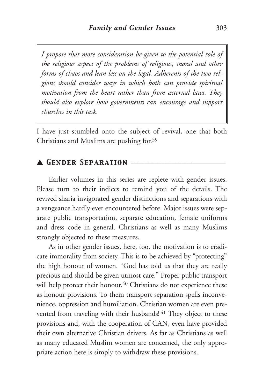*I propose that more consideration be given to the potential role of the religious aspect of the problems of religious, moral and other forms of chaos and lean less on the legal. Adherents of the two relgions should consider ways in which both can provide spiritual motivation from the heart rather than from external laws. They should also explore how governments can encourage and support churches in this task.*

I have just stumbled onto the subject of revival, one that both Christians and Muslims are pushing for.39

## ▲ *Gender Separation* \_\_\_\_\_\_\_\_\_\_\_\_\_\_\_\_\_\_\_\_\_\_\_\_\_\_\_\_

Earlier volumes in this series are replete with gender issues. Please turn to their indices to remind you of the details. The revived sharia invigorated gender distinctions and separations with a vengeance hardly ever encountered before. Major issues were separate public transportation, separate education, female uniforms and dress code in general. Christians as well as many Muslims strongly objected to these measures.

As in other gender issues, here, too, the motivation is to eradicate immorality from society. This is to be achieved by "protecting" the high honour of women. "God has told us that they are really precious and should be given utmost care." Proper public transport will help protect their honour.<sup>40</sup> Christians do not experience these as honour provisions. To them transport separation spells inconvenience, oppression and humiliation. Christian women are even prevented from traveling with their husbands!<sup>41</sup> They object to these provisions and, with the cooperation of CAN, even have provided their own alternative Christian drivers. As far as Christians as well as many educated Muslim women are concerned, the only appropriate action here is simply to withdraw these provisions.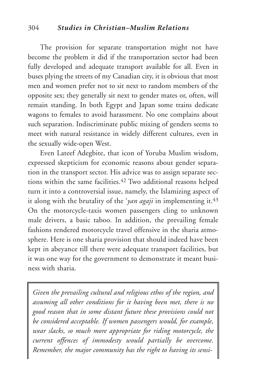The provision for separate transportation might not have become the problem it did if the transportation sector had been fully developed and adequate transport available for all. Even in buses plying the streets of my Canadian city, it is obvious that most men and women prefer not to sit next to random members of the opposite sex; they generally sit next to gender mates or, often, will remain standing. In both Egypt and Japan some trains dedicate wagons to females to avoid harassment. No one complains about such separation. Indiscriminate public mixing of genders seems to meet with natural resistance in widely different cultures, even in the sexually wide-open West.

Even Lateef Adegbite, that icon of Yoruba Muslim wisdom, expressed skepticism for economic reasons about gender separation in the transport sector. His advice was to assign separate sections within the same facilities.42 Two additional reasons helped turn it into a controversial issue, namely, the Islamizing aspect of it along with the brutality of the '*yan agaji* in implementing it.43 On the motorcycle-taxis women passengers cling to unknown male drivers, a basic taboo. In addition, the prevailing female fashions rendered motorcycle travel offensive in the sharia atmosphere. Here is one sharia provision that should indeed have been kept in abeyance till there were adequate transport facilities, but it was one way for the government to demonstrate it meant business with sharia.

*Given the prevailing cultural and religious ethos of the region, and assuming all other conditions for it having been met, there is no good reason that in some distant future these provisions could not be considered acceptable. If women passengers would, for example, wear slacks, so much more appropriate for riding motorcycle, the current offences of immodesty would partially be overcome. Remember, the major community has the right to having its sensi-*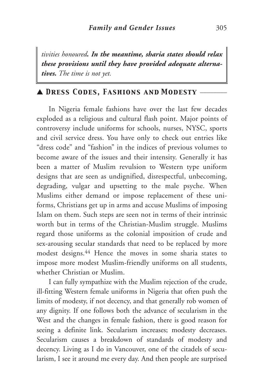*tivities honoured. In the meantime, sharia states should relax these provisions until they have provided adequate alternatives. The time is not yet.*

# ▲ *Dress Codes, Fashions and Modesty* \_\_\_\_\_\_\_\_

In Nigeria female fashions have over the last few decades exploded as a religious and cultural flash point. Major points of controversy include uniforms for schools, nurses, NYSC, sports and civil service dress. You have only to check out entries like "dress code" and "fashion" in the indices of previous volumes to become aware of the issues and their intensity. Generally it has been a matter of Muslim revulsion to Western type uniform designs that are seen as undignified, disrespectful, unbecoming, degrading, vulgar and upsetting to the male psyche. When Muslims either demand or impose replacement of these uniforms, Christians get up in arms and accuse Muslims of imposing Islam on them. Such steps are seen not in terms of their intrinsic worth but in terms of the Christian-Muslim struggle. Muslims regard those uniforms as the colonial imposition of crude and sex-arousing secular standards that need to be replaced by more modest designs.44 Hence the moves in some sharia states to impose more modest Muslim-friendly uniforms on all students, whether Christian or Muslim.

I can fully sympathize with the Muslim rejection of the crude, ill-fitting Western female uniforms in Nigeria that often push the limits of modesty, if not decency, and that generally rob women of any dignity. If one follows both the advance of secularism in the West and the changes in female fashion, there is good reason for seeing a definite link. Secularism increases; modesty decreases. Secularism causes a breakdown of standards of modesty and decency. Living as I do in Vancouver, one of the citadels of secularism, I see it around me every day. And then people are surprised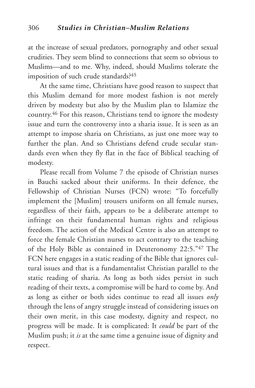at the increase of sexual predators, pornography and other sexual crudities. They seem blind to connections that seem so obvious to Muslims—and to me. Why, indeed, should Muslims tolerate the imposition of such crude standards?45

At the same time, Christians have good reason to suspect that this Muslim demand for more modest fashion is not merely driven by modesty but also by the Muslim plan to Islamize the country.46 For this reason, Christians tend to ignore the modesty issue and turn the controversy into a sharia issue. It is seen as an attempt to impose sharia on Christians, as just one more way to further the plan. And so Christians defend crude secular standards even when they fly flat in the face of Biblical teaching of modesty.

Please recall from Volume 7 the episode of Christian nurses in Bauchi sacked about their uniforms. In their defence, the Fellowship of Christian Nurses (FCN) wrote: "To forcefully implement the [Muslim] trousers uniform on all female nurses, regardless of their faith, appears to be a deliberate attempt to infringe on their fundamental human rights and religious freedom. The action of the Medical Centre is also an attempt to force the female Christian nurses to act contrary to the teaching of the Holy Bible as contained in Deuteronomy 22:5."47 The FCN here engages in a static reading of the Bible that ignores cultural issues and that is a fundamentalist Christian parallel to the static reading of sharia. As long as both sides persist in such reading of their texts, a compromise will be hard to come by. And as long as either or both sides continue to read all issues *only* through the lens of angry struggle instead of considering issues on their own merit, in this case modesty, dignity and respect, no progress will be made. It is complicated: It *could* be part of the Muslim push; it *is* at the same time a genuine issue of dignity and respect.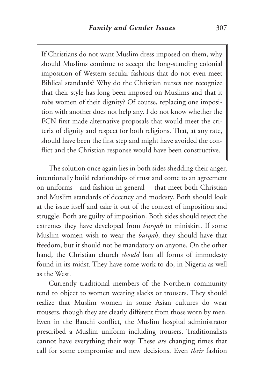If Christians do not want Muslim dress imposed on them, why should Muslims continue to accept the long-standing colonial imposition of Western secular fashions that do not even meet Biblical standards? Why do the Christian nurses not recognize that their style has long been imposed on Muslims and that it robs women of their dignity? Of course, replacing one imposition with another does not help any. I do not know whether the FCN first made alternative proposals that would meet the criteria of dignity and respect for both religions. That, at any rate, should have been the first step and might have avoided the conflict and the Christian response would have been constructive.

The solution once again lies in both sides shedding their anger, intentionally build relationships of trust and come to an agreement on uniforms—and fashion in general— that meet both Christian and Muslim standards of decency and modesty. Both should look at the issue itself and take it out of the context of imposition and struggle. Both are guilty of imposition. Both sides should reject the extremes they have developed from *burqah* to miniskirt. If some Muslim women wish to wear the *burqah*, they should have that freedom, but it should not be mandatory on anyone. On the other hand, the Christian church *should* ban all forms of immodesty found in its midst. They have some work to do, in Nigeria as well as the West.

Currently traditional members of the Northern community tend to object to women wearing slacks or trousers. They should realize that Muslim women in some Asian cultures do wear trousers, though they are clearly different from those worn by men. Even in the Bauchi conflict, the Muslim hospital administrator prescribed a Muslim uniform including trousers. Traditionalists cannot have everything their way. These *are* changing times that call for some compromise and new decisions. Even *their* fashion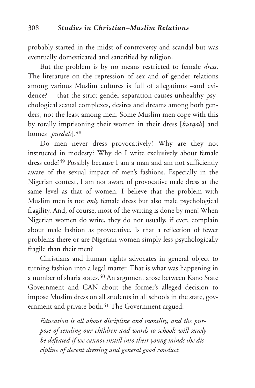probably started in the midst of controversy and scandal but was eventually domesticated and sanctified by religion.

But the problem is by no means restricted to female *dress*. The literature on the repression of sex and of gender relations among various Muslim cultures is full of allegations –and evidence?— that the strict gender separation causes unhealthy psychological sexual complexes, desires and dreams among both genders, not the least among men. Some Muslim men cope with this by totally imprisoning their women in their dress [*burqah*] and homes [*purdah*].48

Do men never dress provocatively? Why are they not instructed in modesty? Why do I write exclusively about female dress code?49 Possibly because I am a man and am not sufficiently aware of the sexual impact of men's fashions. Especially in the Nigerian context, I am not aware of provocative male dress at the same level as that of women. I believe that the problem with Muslim men is not *only* female dress but also male psychological fragility. And, of course, most of the writing is done by men! When Nigerian women do write, they do not usually, if ever, complain about male fashion as provocative. Is that a reflection of fewer problems there or are Nigerian women simply less psychologically fragile than their men?

Christians and human rights advocates in general object to turning fashion into a legal matter. That is what was happening in a number of sharia states.<sup>50</sup> An argument arose between Kano State Government and CAN about the former's alleged decision to impose Muslim dress on all students in all schools in the state, government and private both.<sup>51</sup> The Government argued:

*Education is all about discipline and morality, and the purpose of sending our children and wards to schools will surely be defeated if we cannot instill into their young minds the discipline of decent dressing and general good conduct.*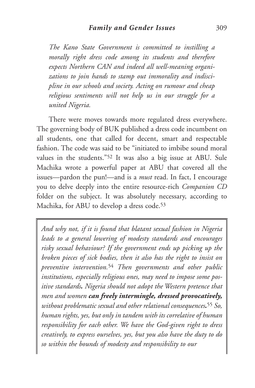*The Kano State Government is committed to instilling a morally right dress code among its students and therefore expects Northern CAN and indeed all well-meaning organizations to join hands to stamp out immorality and indiscipline in our schools and society. Acting on rumour and cheap religious sentiments will not help us in our struggle for a united Nigeria.*

There were moves towards more regulated dress everywhere. The governing body of BUK published a dress code incumbent on all students, one that called for decent, smart and respectable fashion. The code was said to be "initiated to imbibe sound moral values in the students."52 It was also a big issue at ABU. Sule Machika wrote a powerful paper at ABU that covered all the issues—pardon the pun!—and is a *must* read. In fact, I encourage you to delve deeply into the entire resource-rich *Companion CD* folder on the subject. It was absolutely necessary, according to Machika, for ABU to develop a dress code.<sup>53</sup>

*And why not, if it is found that blatant sexual fashion in Nigeria leads to a general lowering of modesty standards and encourages risky sexual behaviour? If the government ends up picking up the broken pieces of sick bodies, then it also has the right to insist on preventive intervention.*<sup>54</sup> *Then governments and other public institutions, especially religious ones, may need to impose some positive standards. Nigeria should not adopt the Western pretence that men and women can freely intermingle, dressed provocatively, without problematic sexual and other relational consequences.*<sup>55</sup> *So, human rights, yes, but only in tandem with its correlative of human responsibility for each other. We have the God-given right to dress creatively, to express ourselves, yes, but you also have the duty to do so within the bounds of modesty and responsibility to our*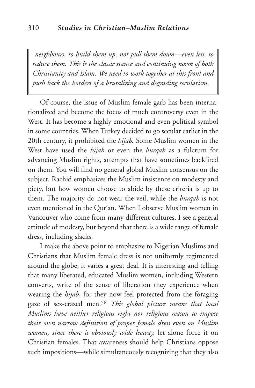*neighbours, to build them up, not pull them down—even less, to seduce them. This is the classic stance and continuing norm of both Christianity and Islam. We need to work together at this front and push back the borders of a brutalizing and degrading secularism.*

Of course, the issue of Muslim female garb has been internationalized and become the focus of much controversy even in the West. It has become a highly emotional and even political symbol in some countries. When Turkey decided to go secular earlier in the 20th century, it prohibited the *hijab.* Some Muslim women in the West have used the *hijab* or even the *burqah* as a fulcrum for advancing Muslim rights, attempts that have sometimes backfired on them. You will find no general global Muslim consensus on the subject. Rachid emphasizes the Muslim insistence on modesty and piety, but how women choose to abide by these criteria is up to them. The majority do not wear the veil, while the *burqah* is not even mentioned in the Qur'an. When I observe Muslim women in Vancouver who come from many different cultures, I see a general attitude of modesty, but beyond that there is a wide range of female dress, including slacks.

I make the above point to emphasize to Nigerian Muslims and Christians that Muslim female dress is not uniformly regimented around the globe; it varies a great deal. It is interesting and telling that many liberated, educated Muslim women, including Western converts, write of the sense of liberation they experience when wearing the *hijab*, for they now feel protected from the foraging gaze of sex-crazed men.56 *This global picture means that local Muslims have neither religious right nor religious reason to impose their own narrow definition of proper female dress even on Muslim women, since there is obviously wide leeway,* let alone force it on Christian females. That awareness should help Christians oppose such impositions—while simultaneously recognizing that they also